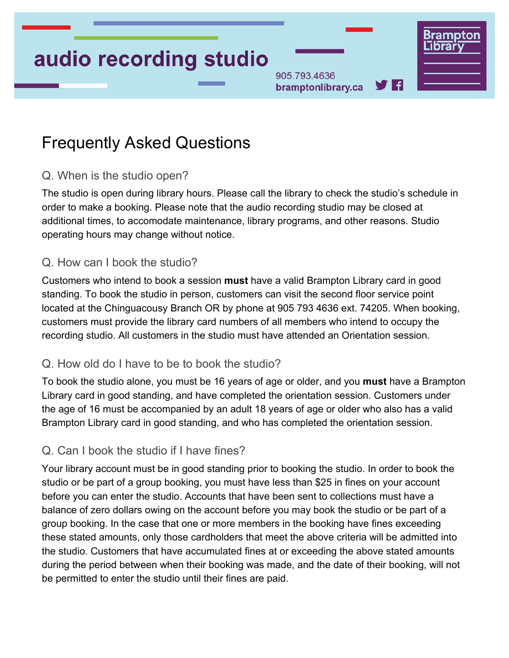# audio recording studio

905.793.4636 7 A bramptonlibrary.ca

# Frequently Asked Questions

#### Q. When is the studio open?

The studio is open during library hours. Please call the library to check the studio's schedule in order to make a booking. Please note that the audio recording studio may be closed at additional times, to accomodate maintenance, library programs, and other reasons. Studio operating hours may change without notice.

#### Q. How can I book the studio?

Customers who intend to book a session **must** have a valid Brampton Library card in good standing. To book the studio in person, customers can visit the second floor service point located at the Chinguacousy Branch OR by phone at 905 793 4636 ext. 74205. When booking, customers must provide the library card numbers of all members who intend to occupy the recording studio. All customers in the studio must have attended an Orientation session.

#### Q. How old do I have to be to book the studio?

To book the studio alone, you must be 16 years of age or older, and you **must** have a Brampton Library card in good standing, and have completed the orientation session. Customers under the age of 16 must be accompanied by an adult 18 years of age or older who also has a valid Brampton Library card in good standing, and who has completed the orientation session.

#### Q. Can I book the studio if I have fines?

Your library account must be in good standing prior to booking the studio. In order to book the studio or be part of a group booking, you must have less than \$25 in fines on your account before you can enter the studio. Accounts that have been sent to collections must have a balance of zero dollars owing on the account before you may book the studio or be part of a group booking. In the case that one or more members in the booking have fines exceeding these stated amounts, only those cardholders that meet the above criteria will be admitted into the studio. Customers that have accumulated fines at or exceeding the above stated amounts during the period between when their booking was made, and the date of their booking, will not be permitted to enter the studio until their fines are paid.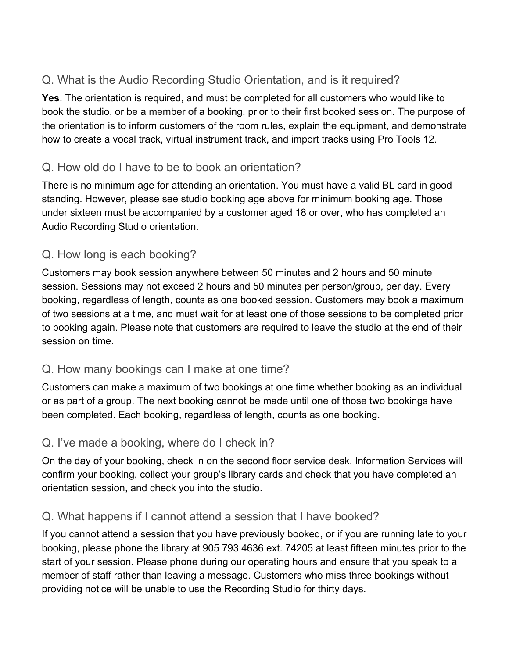# Q. What is the Audio Recording Studio Orientation, and is it required?

**Yes**. The orientation is required, and must be completed for all customers who would like to book the studio, or be a member of a booking, prior to their first booked session. The purpose of the orientation is to inform customers of the room rules, explain the equipment, and demonstrate how to create a vocal track, virtual instrument track, and import tracks using Pro Tools 12.

# Q. How old do I have to be to book an orientation?

There is no minimum age for attending an orientation. You must have a valid BL card in good standing. However, please see studio booking age above for minimum booking age. Those under sixteen must be accompanied by a customer aged 18 or over, who has completed an Audio Recording Studio orientation.

# Q. How long is each booking?

Customers may book session anywhere between 50 minutes and 2 hours and 50 minute session. Sessions may not exceed 2 hours and 50 minutes per person/group, per day. Every booking, regardless of length, counts as one booked session. Customers may book a maximum of two sessions at a time, and must wait for at least one of those sessions to be completed prior to booking again. Please note that customers are required to leave the studio at the end of their session on time.

# Q. How many bookings can I make at one time?

Customers can make a maximum of two bookings at one time whether booking as an individual or as part of a group. The next booking cannot be made until one of those two bookings have been completed. Each booking, regardless of length, counts as one booking.

# Q. I've made a booking, where do I check in?

On the day of your booking, check in on the second floor service desk. Information Services will confirm your booking, collect your group's library cards and check that you have completed an orientation session, and check you into the studio.

# Q. What happens if I cannot attend a session that I have booked?

If you cannot attend a session that you have previously booked, or if you are running late to your booking, please phone the library at 905 793 4636 ext. 74205 at least fifteen minutes prior to the start of your session. Please phone during our operating hours and ensure that you speak to a member of staff rather than leaving a message. Customers who miss three bookings without providing notice will be unable to use the Recording Studio for thirty days.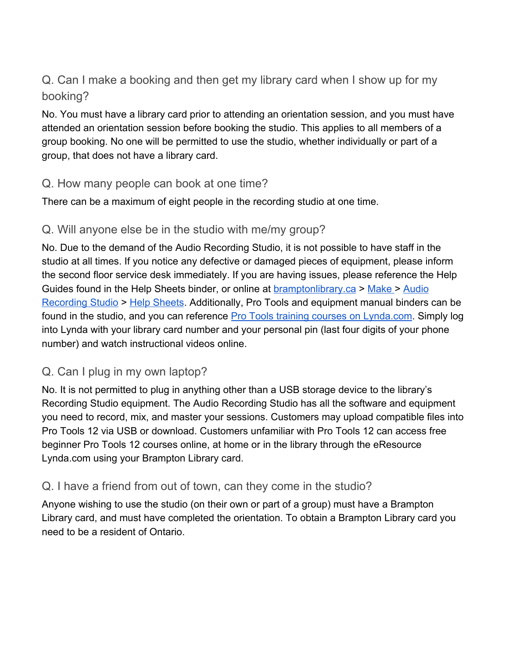Q. Can I make a booking and then get my library card when I show up for my booking?

No. You must have a library card prior to attending an orientation session, and you must have attended an orientation session before booking the studio. This applies to all members of a group booking. No one will be permitted to use the studio, whether individually or part of a group, that does not have a library card.

#### Q. How many people can book at one time?

There can be a maximum of eight people in the recording studio at one time.

#### Q. Will anyone else be in the studio with me/my group?

No. Due to the demand of the Audio Recording Studio, it is not possible to have staff in the studio at all times. If you notice any defective or damaged pieces of equipment, please inform the second floor service desk immediately. If you are having issues, please reference the Help Guides found in the Help Sheets binder, or online at [bramptonlibrary.ca](https://www.bramptonlibrary.ca/) > [Make >](https://www.bramptonlibrary.ca/index.php/make) [Audio](https://www.bramptonlibrary.ca/index.php/make/audio-recording-studio) [Recording Studio](https://www.bramptonlibrary.ca/index.php/make/audio-recording-studio) > [Help Sheets](https://www.bramptonlibrary.ca/index.php/audio-recording-studio-help-sheets). Additionally, Pro Tools and equipment manual binders can be found in the studio, and you can reference [Pro Tools training courses on Lynda.com.](https://www.lynda.com/search?q=protools) Simply log into Lynda with your library card number and your personal pin (last four digits of your phone number) and watch instructional videos online.

# Q. Can I plug in my own laptop?

No. It is not permitted to plug in anything other than a USB storage device to the library's Recording Studio equipment. The Audio Recording Studio has all the software and equipment you need to record, mix, and master your sessions. Customers may upload compatible files into Pro Tools 12 via USB or download. Customers unfamiliar with Pro Tools 12 can access free beginner Pro Tools 12 courses online, at home or in the library through the eResource Lynda.com using your Brampton Library card.

# Q. I have a friend from out of town, can they come in the studio?

Anyone wishing to use the studio (on their own or part of a group) must have a Brampton Library card, and must have completed the orientation. To obtain a Brampton Library card you need to be a resident of Ontario.